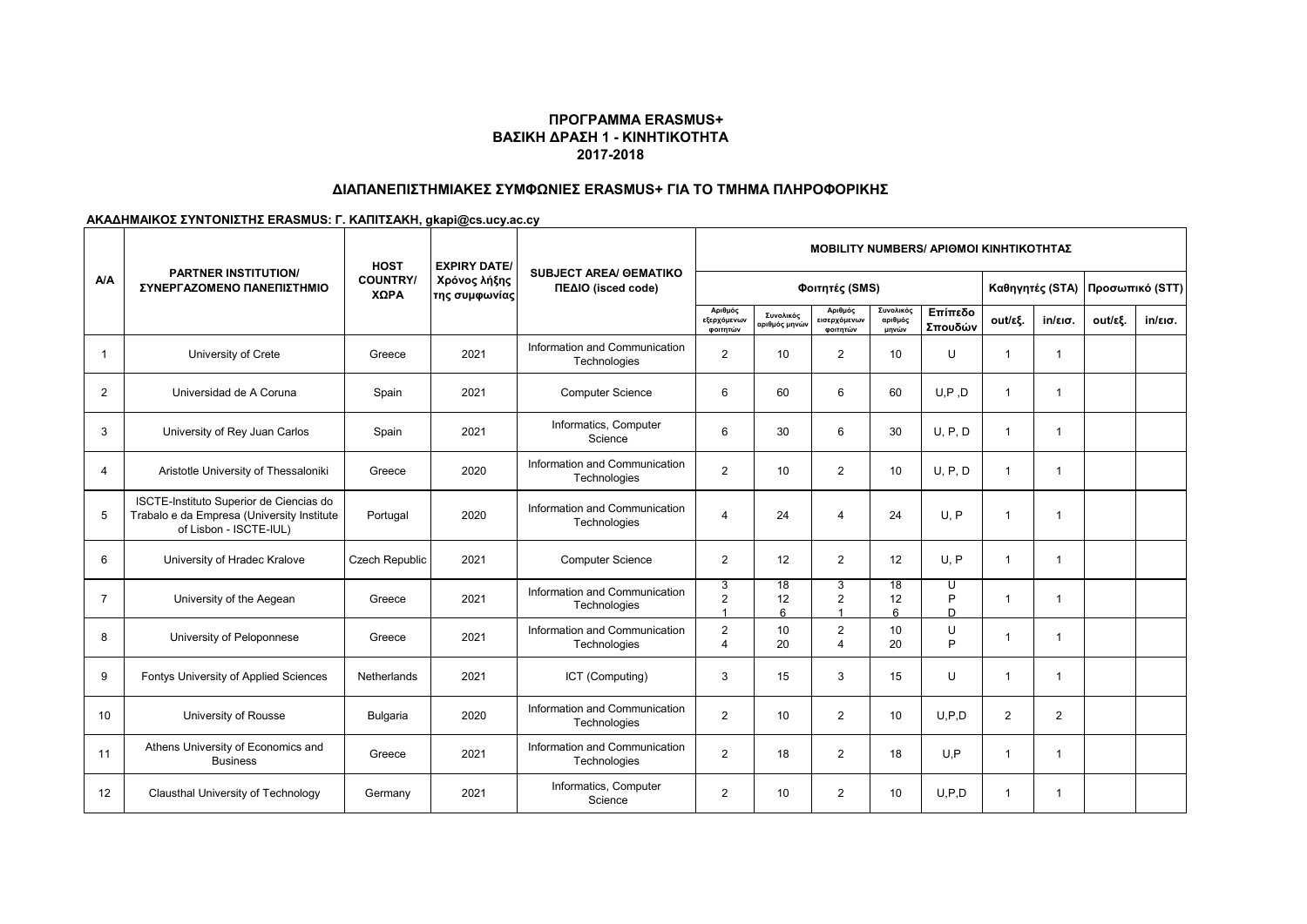# **ΔΙΑΠΑΝΕΠΙΣΤΗΜΙΑΚΕΣ ΣΥΜΦΩΝΙΕΣ ERASMUS+ ΓΙΑ ΤΟ ΤΜΗΜΑ ΠΛΗΡΟΦΟΡΙΚΗΣ**

|                | <b>PARTNER INSTITUTION/</b><br>ΣΥΝΕΡΓΑΖΟΜΕΝΟ ΠΑΝΕΠΙΣΤΗΜΙΟ                                                       | <b>HOST</b><br><b>COUNTRY/</b><br>ΧΩΡΑ | <b>EXPIRY DATE/</b>           | <b>SUBJECT AREA/ GEMATIKO</b><br>ΠΕΔΙΟ (isced code) | <b>MOBILITY NUMBERS/ APIOMOI KINHTIKOTHTAZ</b> |                            |                                     |                                 |                    |                |                   |         |                   |  |
|----------------|-----------------------------------------------------------------------------------------------------------------|----------------------------------------|-------------------------------|-----------------------------------------------------|------------------------------------------------|----------------------------|-------------------------------------|---------------------------------|--------------------|----------------|-------------------|---------|-------------------|--|
| <b>A/A</b>     |                                                                                                                 |                                        | Χρόνος λήξης<br>της συμφωνίας |                                                     |                                                |                            |                                     | Καθηγητές (STA) Προσωπικό (STT) |                    |                |                   |         |                   |  |
|                |                                                                                                                 |                                        |                               |                                                     | Αριθμός<br>εξερχόμενων<br>φοιτητών             | Συνολικός<br>αριθμός μηνών | Αριθμός<br>εισερχόμενων<br>φοιτητών | Συνολικός<br>αριθμός<br>μηνών   | Επίπεδο<br>Σπουδών | out/εξ.        | $in/\epsilon$ ισ. | out/εξ. | $in/\epsilon$ ισ. |  |
| 1              | University of Crete                                                                                             | Greece                                 | 2021                          | Information and Communication<br>Technologies       | $\overline{2}$                                 | 10                         | 2                                   | 10                              | U                  | $\overline{1}$ | 1                 |         |                   |  |
| $\overline{2}$ | Universidad de A Coruna                                                                                         | Spain                                  | 2021                          | <b>Computer Science</b>                             | 6                                              | 60                         | 6                                   | 60                              | U.P.D              | $\overline{1}$ | 1                 |         |                   |  |
| 3              | University of Rey Juan Carlos                                                                                   | Spain                                  | 2021                          | Informatics, Computer<br>Science                    | 6                                              | 30                         | 6                                   | 30                              | U, P, D            | $\overline{1}$ | 1                 |         |                   |  |
| 4              | Aristotle University of Thessaloniki                                                                            | Greece                                 | 2020                          | Information and Communication<br>Technologies       | 2                                              | 10                         | 2                                   | 10                              | U, P, D            | $\overline{1}$ | 1                 |         |                   |  |
| 5              | ISCTE-Instituto Superior de Ciencias do<br>Trabalo e da Empresa (University Institute<br>of Lisbon - ISCTE-IUL) | Portugal                               | 2020                          | Information and Communication<br>Technologies       | $\overline{4}$                                 | 24                         | 4                                   | 24                              | U.P                | $\overline{1}$ | -1                |         |                   |  |
| 6              | University of Hradec Kralove                                                                                    | Czech Republic                         | 2021                          | <b>Computer Science</b>                             | $\overline{2}$                                 | 12                         | 2                                   | 12                              | U, P               | $\mathbf 1$    | -1                |         |                   |  |
| $\overline{7}$ | University of the Aegean                                                                                        | Greece                                 | 2021                          | Information and Communication<br>Technologies       | 3<br>$\overline{2}$                            | 18<br>12<br>6              | 3<br>$\overline{2}$<br>1            | 18<br>12<br>6                   | U<br>P<br>D        | $\mathbf{1}$   | 1                 |         |                   |  |
| 8              | University of Peloponnese                                                                                       | Greece                                 | 2021                          | Information and Communication<br>Technologies       | $\overline{2}$<br>$\Lambda$                    | 10<br>20                   | 2<br>4                              | 10<br>20                        | U<br>P             | $\mathbf 1$    | -1                |         |                   |  |
| 9              | Fontys University of Applied Sciences                                                                           | Netherlands                            | 2021                          | ICT (Computing)                                     | 3                                              | 15                         | 3                                   | 15                              | U                  | $\mathbf 1$    | -1                |         |                   |  |
| 10             | University of Rousse                                                                                            | Bulgaria                               | 2020                          | Information and Communication<br>Technologies       | $\overline{2}$                                 | 10                         | 2                                   | 10                              | U.P.D              | 2              | 2                 |         |                   |  |
| 11             | Athens University of Economics and<br><b>Business</b>                                                           | Greece                                 | 2021                          | Information and Communication<br>Technologies       | $\overline{2}$                                 | 18                         | 2                                   | 18                              | U.P                | $\overline{1}$ | -1                |         |                   |  |
| 12             | Clausthal University of Technology                                                                              | Germany                                | 2021                          | Informatics, Computer<br>Science                    | $\overline{2}$                                 | 10                         | $\overline{2}$                      | 10                              | U.P.D              | $\mathbf{1}$   | -1                |         |                   |  |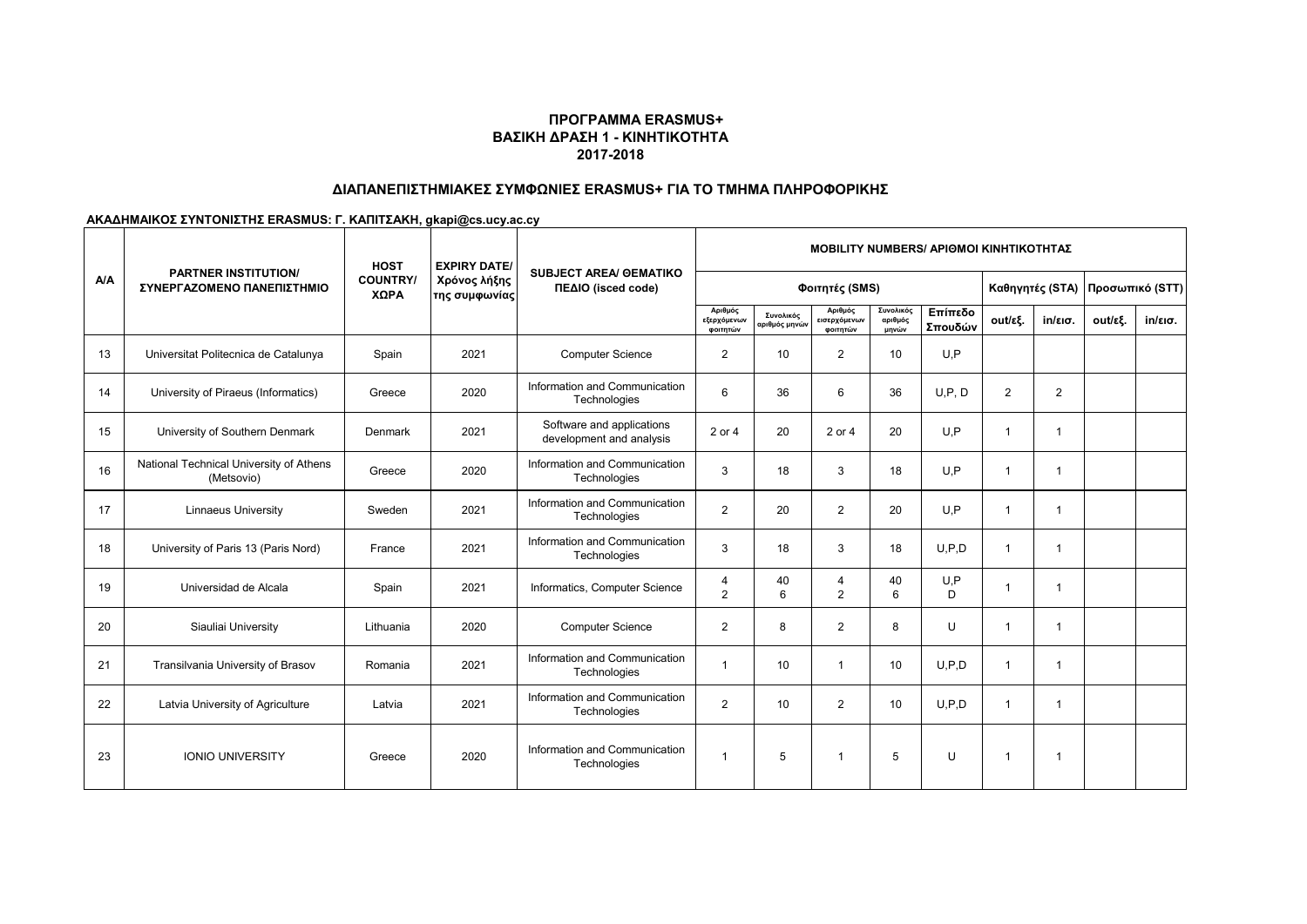## **ΔΙΑΠΑΝΕΠΙΣΤΗΜΙΑΚΕΣ ΣΥΜΦΩΝΙΕΣ ERASMUS+ ΓΙΑ ΤΟ ΤΜΗΜΑ ΠΛΗΡΟΦΟΡΙΚΗΣ**

|     | <b>PARTNER INSTITUTION/</b><br>ΣΥΝΕΡΓΑΖΟΜΕΝΟ ΠΑΝΕΠΙΣΤΗΜΙΟ | <b>HOST</b><br><b>COUNTRY/</b><br>ΧΩΡΑ | <b>EXPIRY DATE/</b>           | <b>SUBJECT AREA/ GEMATIKO</b><br>ΠΕΔΙΟ (isced code)   | <b>MOBILITY NUMBERS/ APIOMOI KINHTIKOTHTAΣ</b> |                            |                                     |                               |                    |                         |                         |                                 |                   |  |
|-----|-----------------------------------------------------------|----------------------------------------|-------------------------------|-------------------------------------------------------|------------------------------------------------|----------------------------|-------------------------------------|-------------------------------|--------------------|-------------------------|-------------------------|---------------------------------|-------------------|--|
| A/A |                                                           |                                        | Χρόνος λήξης<br>της συμφωνίας |                                                       | Φοιτητές (SMS)                                 |                            |                                     |                               |                    |                         |                         | Καθηγητές (STA) Προσωπικό (STT) |                   |  |
|     |                                                           |                                        |                               |                                                       | Αριθμός<br>εξερχόμενων<br>φοιτητών             | Συνολικός<br>αριθμός μηνών | Αριθμός<br>εισερχόμενων<br>φοιτητών | Συνολικός<br>αριθμός<br>μηνών | Επίπεδο<br>Σπουδών | out/εξ.                 | in/εισ.                 | out/εξ.                         | $in/\epsilon$ ισ. |  |
| 13  | Universitat Politecnica de Catalunya                      | Spain                                  | 2021                          | <b>Computer Science</b>                               | $\overline{2}$                                 | 10                         | $\overline{2}$                      | 10                            | U.P                |                         |                         |                                 |                   |  |
| 14  | University of Piraeus (Informatics)                       | Greece                                 | 2020                          | Information and Communication<br>Technologies         | 6                                              | 36                         | 6                                   | 36                            | U.P.D              | 2                       | $\overline{2}$          |                                 |                   |  |
| 15  | University of Southern Denmark                            | Denmark                                | 2021                          | Software and applications<br>development and analysis | 2 or 4                                         | 20                         | 2 or 4                              | 20                            | U.P                | $\overline{\mathbf{1}}$ | $\mathbf 1$             |                                 |                   |  |
| 16  | National Technical University of Athens<br>(Metsovio)     | Greece                                 | 2020                          | Information and Communication<br>Technologies         | 3                                              | 18                         | 3                                   | 18                            | U, P               | $\overline{1}$          | $\overline{1}$          |                                 |                   |  |
| 17  | <b>Linnaeus University</b>                                | Sweden                                 | 2021                          | Information and Communication<br>Technologies         | 2                                              | 20                         | $\overline{2}$                      | 20                            | U, P               | $\overline{\mathbf{1}}$ | $\overline{\mathbf{1}}$ |                                 |                   |  |
| 18  | University of Paris 13 (Paris Nord)                       | France                                 | 2021                          | Information and Communication<br>Technologies         | 3                                              | 18                         | 3                                   | 18                            | U.P.D              | -1                      |                         |                                 |                   |  |
| 19  | Universidad de Alcala                                     | Spain                                  | 2021                          | Informatics, Computer Science                         | 4<br>$\mathfrak{p}$                            | 40<br>6                    | $\overline{4}$<br>2                 | 40<br>6                       | U, P<br>D.         | -1                      | -1                      |                                 |                   |  |
| 20  | Siauliai University                                       | Lithuania                              | 2020                          | <b>Computer Science</b>                               | $\overline{2}$                                 | 8                          | $\overline{2}$                      | 8                             | $\mathbf{U}$       | $\overline{1}$          | $\overline{1}$          |                                 |                   |  |
| 21  | Transilvania University of Brasov                         | Romania                                | 2021                          | Information and Communication<br>Technologies         | $\overline{\phantom{a}}$                       | 10                         | -1                                  | 10                            | U.P.D              | $\overline{1}$          | -1                      |                                 |                   |  |
| 22  | Latvia University of Agriculture                          | Latvia                                 | 2021                          | Information and Communication<br>Technologies         | 2                                              | 10                         | $\overline{2}$                      | 10                            | U.P.D              | $\overline{1}$          | -1                      |                                 |                   |  |
| 23  | <b>IONIO UNIVERSITY</b>                                   | Greece                                 | 2020                          | Information and Communication<br>Technologies         | -1                                             | 5                          | $\overline{1}$                      | 5                             | U                  | -1                      | -1                      |                                 |                   |  |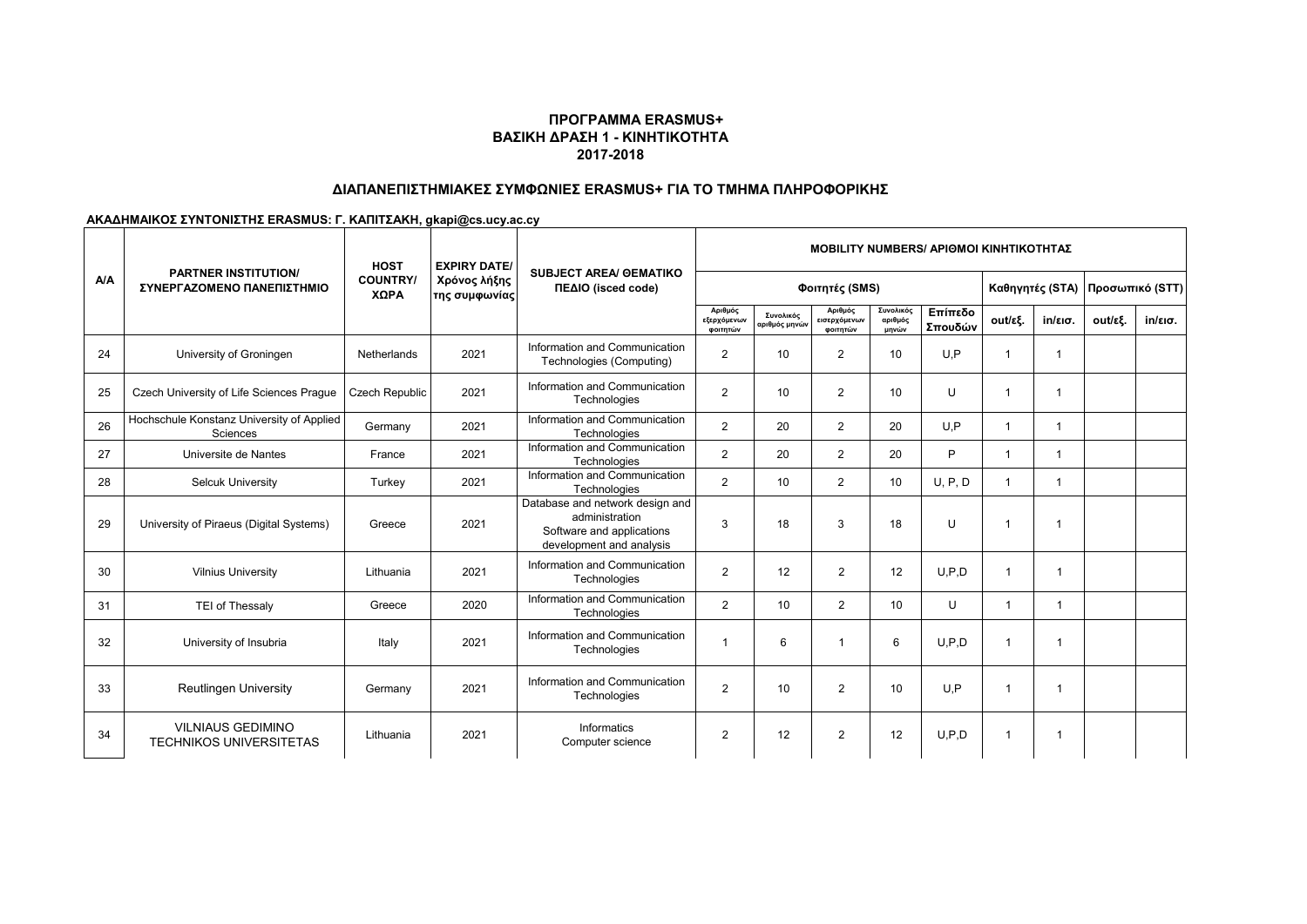# **ΔΙΑΠΑΝΕΠΙΣΤΗΜΙΑΚΕΣ ΣΥΜΦΩΝΙΕΣ ERASMUS+ ΓΙΑ ΤΟ ΤΜΗΜΑ ΠΛΗΡΟΦΟΡΙΚΗΣ**

|     | <b>PARTNER INSTITUTION/</b><br>ΣΥΝΕΡΓΑΖΟΜΕΝΟ ΠΑΝΕΠΙΣΤΗΜΙΟ  | <b>HOST</b>             | <b>EXPIRY DATE/</b>           | <b>SUBJECT AREA/ GEMATIKO</b><br>ΠΕΔΙΟ (isced code)                                                        | <b>MOBILITY NUMBERS/ APIOMOI KINHTIKOTHTAZ</b> |                            |                                     |                               |                    |                         |         |         |                                 |  |
|-----|------------------------------------------------------------|-------------------------|-------------------------------|------------------------------------------------------------------------------------------------------------|------------------------------------------------|----------------------------|-------------------------------------|-------------------------------|--------------------|-------------------------|---------|---------|---------------------------------|--|
| A/A |                                                            | <b>COUNTRY/</b><br>ΧΩΡΑ | Χρόνος λήξης<br>της συμφωνίας |                                                                                                            | Φοιτητές (SMS)                                 |                            |                                     |                               |                    |                         |         |         | Καθηγητές (STA) Προσωπικό (STT) |  |
|     |                                                            |                         |                               |                                                                                                            | Αριθμός<br>εξερχόμενων<br>φοιτητών             | Συνολικός<br>αριθμός μηνών | Αριθμός<br>εισερχόμενων<br>φοιτητών | Συνολικός<br>αριθμός<br>μηνών | Επίπεδο<br>Σπουδών | out/εξ.                 | in/εισ. | out/εξ. | $in/\epsilon$ ισ.               |  |
| 24  | University of Groningen                                    | Netherlands             | 2021                          | Information and Communication<br>Technologies (Computing)                                                  | $\overline{2}$                                 | 10                         | $\overline{2}$                      | 10                            | U.P                | $\mathbf 1$             | 1       |         |                                 |  |
| 25  | Czech University of Life Sciences Praque                   | <b>Czech Republic</b>   | 2021                          | Information and Communication<br>Technologies                                                              | $\overline{2}$                                 | 10                         | $\overline{2}$                      | 10                            | $\cup$             | $\overline{\mathbf{1}}$ | -1      |         |                                 |  |
| 26  | Hochschule Konstanz University of Applied<br>Sciences      | Germany                 | 2021                          | Information and Communication<br>Technologies                                                              | $\overline{2}$                                 | 20                         | $\overline{2}$                      | 20                            | U.P                | $\mathbf{1}$            | 1       |         |                                 |  |
| 27  | Universite de Nantes                                       | France                  | 2021                          | Information and Communication<br>Technologies                                                              | 2                                              | 20                         | $\overline{2}$                      | 20                            | P                  | $\mathbf{1}$            | 1       |         |                                 |  |
| 28  | <b>Selcuk University</b>                                   | Turkev                  | 2021                          | Information and Communication<br>Technologies                                                              | 2                                              | 10                         | $\overline{2}$                      | 10                            | U, P, D            | $\mathbf{1}$            | 1       |         |                                 |  |
| 29  | University of Piraeus (Digital Systems)                    | Greece                  | 2021                          | Database and network design and<br>administration<br>Software and applications<br>development and analysis | 3                                              | 18                         | 3                                   | 18                            | U                  | $\mathbf 1$             | 1       |         |                                 |  |
| 30  | <b>Vilnius University</b>                                  | Lithuania               | 2021                          | Information and Communication<br>Technologies                                                              | $\overline{2}$                                 | 12                         | $\overline{2}$                      | 12                            | U.P.D              | -1                      | -1      |         |                                 |  |
| 31  | TEI of Thessaly                                            | Greece                  | 2020                          | Information and Communication<br>Technologies                                                              | $\overline{2}$                                 | 10                         | $\overline{2}$                      | 10                            | U                  | -1                      | 1       |         |                                 |  |
| 32  | University of Insubria                                     | Italy                   | 2021                          | Information and Communication<br>Technologies                                                              |                                                | 6                          | 1                                   | 6                             | U.P.D              | -1                      | -1      |         |                                 |  |
| 33  | <b>Reutlingen University</b>                               | Germany                 | 2021                          | Information and Communication<br>Technologies                                                              | 2                                              | 10                         | $\overline{2}$                      | 10                            | U.P                | -1                      | -1      |         |                                 |  |
| 34  | <b>VILNIAUS GEDIMINO</b><br><b>TECHNIKOS UNIVERSITETAS</b> | Lithuania               | 2021                          | Informatics<br>Computer science                                                                            | 2                                              | 12                         | $\overline{2}$                      | 12                            | U.P.D              | -1                      | -1      |         |                                 |  |